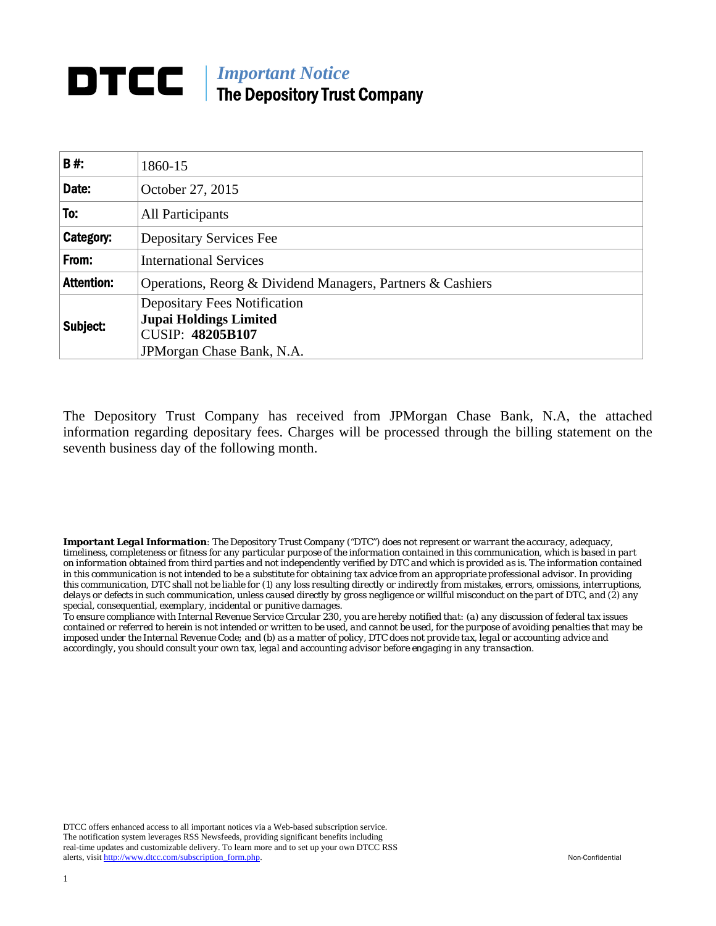## *Important Notice*  The Depository Trust Company

| 1860-15                                                              |  |  |  |  |  |
|----------------------------------------------------------------------|--|--|--|--|--|
| October 27, 2015                                                     |  |  |  |  |  |
| All Participants                                                     |  |  |  |  |  |
| <b>Depositary Services Fee</b>                                       |  |  |  |  |  |
| <b>International Services</b>                                        |  |  |  |  |  |
| Operations, Reorg & Dividend Managers, Partners & Cashiers           |  |  |  |  |  |
| <b>Depositary Fees Notification</b><br><b>Jupai Holdings Limited</b> |  |  |  |  |  |
| <b>CUSIP: 48205B107</b><br>JPMorgan Chase Bank, N.A.                 |  |  |  |  |  |
|                                                                      |  |  |  |  |  |

The Depository Trust Company has received from JPMorgan Chase Bank, N.A, the attached information regarding depositary fees. Charges will be processed through the billing statement on the seventh business day of the following month.

*Important Legal Information: The Depository Trust Company ("DTC") does not represent or warrant the accuracy, adequacy, timeliness, completeness or fitness for any particular purpose of the information contained in this communication, which is based in part on information obtained from third parties and not independently verified by DTC and which is provided as is. The information contained in this communication is not intended to be a substitute for obtaining tax advice from an appropriate professional advisor. In providing this communication, DTC shall not be liable for (1) any loss resulting directly or indirectly from mistakes, errors, omissions, interruptions, delays or defects in such communication, unless caused directly by gross negligence or willful misconduct on the part of DTC, and (2) any special, consequential, exemplary, incidental or punitive damages.* 

*To ensure compliance with Internal Revenue Service Circular 230, you are hereby notified that: (a) any discussion of federal tax issues contained or referred to herein is not intended or written to be used, and cannot be used, for the purpose of avoiding penalties that may be imposed under the Internal Revenue Code; and (b) as a matter of policy, DTC does not provide tax, legal or accounting advice and accordingly, you should consult your own tax, legal and accounting advisor before engaging in any transaction.*

DTCC offers enhanced access to all important notices via a Web-based subscription service. The notification system leverages RSS Newsfeeds, providing significant benefits including real-time updates and customizable delivery. To learn more and to set up your own DTCC RSS alerts, visit http://www.dtcc.com/subscription\_form.php. Non-Confidential